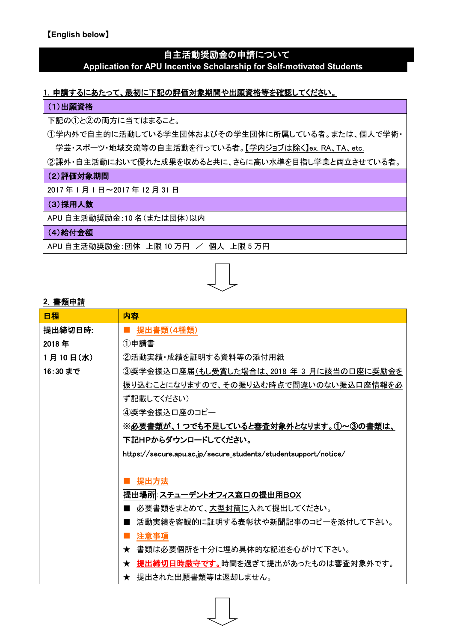# 自主活動奨励金の申請について

#### **Application for APU Incentive Scholarship for Self-motivated Students**

# 1. 申請するにあたって、最初に下記の評価対象期間や出願資格等を確認してください。

#### (1)出願資格

下記の①と②の両方に当てはまること。

①学内外で自主的に活動している学生団体およびその学生団体に所属している者。または、個人で学術・ 学芸・スポーツ・地域交流等の自主活動を行っている者。【学内ジョブは除く】ex. RA、TA、etc.

②課外・自主活動において優れた成果を収めると共に、さらに高い水準を目指し学業と両立させている者。

#### (2)評価対象期間

2017 年 1 月 1 日~2017 年 12 月 31 日

#### (3) 採用人数

APU 自主活動奨励金:10 名(または団体)以内

### (4)給付金額

APU 自主活動奨励金:団体 上限 10 万円 / 個人 上限 5 万円



#### **2**.書類申請

| 日程       | 内容                                                              |
|----------|-----------------------------------------------------------------|
| 提出締切日時:  | 提出書類(4種類)                                                       |
| 2018年    | ①申請書                                                            |
| 1月10日(水) | ②活動実績・成績を証明する資料等の添付用紙                                           |
| 16:30まで  | ③奨学金振込口座届(もし受賞した場合は、2018 年 3 月に該当の口座に奨励金を                       |
|          | 振り込むことになりますので、その振り込む時点で間違いのない振込口座情報を必                           |
|          | ず記載してください)                                                      |
|          | 4)奨学金振込口座のコピー                                                   |
|          | ※必要書類が、1 つでも不足していると審査対象外となります。①~③の書類は、                          |
|          | 下記HPからダウンロードしてください。                                             |
|          | https://secure.apu.ac.jp/secure_students/studentsupport/notice/ |
|          |                                                                 |
|          | 提出方法                                                            |
|          | 提出場所 :スチューデントオフィス窓口の提出用BOX                                      |
|          | 必要書類をまとめて、大型封筒に入れて提出してください。                                     |
|          | 活動実績を客観的に証明する表彰状や新聞記事のコピーを添付して下さい。                              |
|          | 注意事項                                                            |
|          | ★ 書類は必要個所を十分に埋め具体的な記述を心がけて下さい。                                  |
|          | ★ 提出締切日時厳守です。時間を過ぎて提出があったものは審査対象外です。                            |
|          | ★ 提出された出願書類等は返却しません。                                            |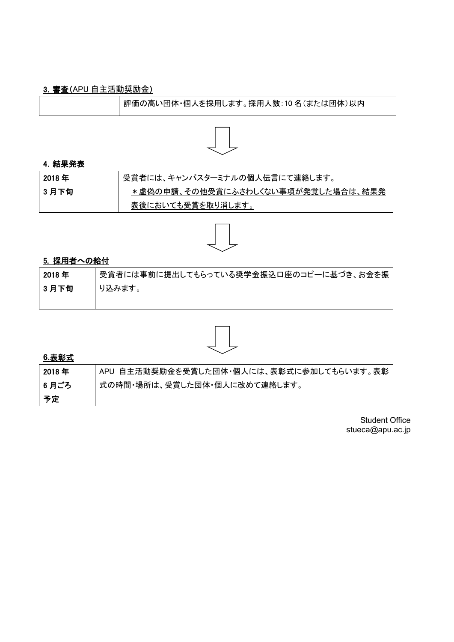# 3.審査(APU 自主活動奨励金)

| 評価の高い団体・個人を採用します。採用人数:10名(または団体)以内 |
|------------------------------------|
|------------------------------------|



#### 4.結果発表

| 2018 年 | 受賞者には、キャンパスターミナルの個人伝言にて連絡します。      |
|--------|------------------------------------|
| 3月下旬   | *虚偽の申請、その他受賞にふさわしくない事項が発覚した場合は、結果発 |
|        | 表後においても受賞を取り消します。                  |



# 5. 採用者への給付

| 2018年 | 受賞者には事前に提出してもらっている奨学金振込口座のコピーに基づき、お金を振 |
|-------|----------------------------------------|
| 3月下旬  | り込みます。                                 |
|       |                                        |



# **6.**表彰式

| 2018 年 | APU 自主活動奨励金を受賞した団体・個人には、表彰式に参加してもらいます。表彰 |
|--------|------------------------------------------|
| │6 月ごろ | 式の時間・場所は、受賞した団体・個人に改めて連絡します。             |
| 予定     |                                          |

Student Office stueca@apu.ac.jp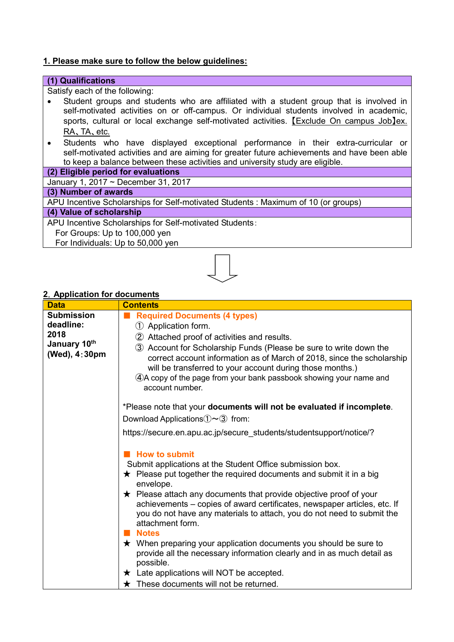# **1. Please make sure to follow the below guidelines:**

| (1) Qualifications                                                                          |  |
|---------------------------------------------------------------------------------------------|--|
| Satisfy each of the following:                                                              |  |
| Student groups and students who are affiliated with a student group that is involved in     |  |
| self-motivated activities on or off-campus. Or individual students involved in academic,    |  |
| sports, cultural or local exchange self-motivated activities. [Exclude On campus Job]ex.    |  |
| RA, TA, etc.                                                                                |  |
| Students who have displayed exceptional performance in their extra-curricular or            |  |
| self-motivated activities and are aiming for greater future achievements and have been able |  |
| to keep a balance between these activities and university study are eligible.               |  |
| (2) Eligible period for evaluations                                                         |  |
| January 1, 2017 ~ December 31, 2017                                                         |  |
| (3) Number of awards                                                                        |  |
| APU Incentive Scholarships for Self-motivated Students : Maximum of 10 (or groups)          |  |
| (4) Value of scholarship                                                                    |  |
| APU Incentive Scholarships for Self-motivated Students:                                     |  |
| For Groups: Up to 100,000 yen                                                               |  |
| For Individuals: Up to 50,000 yen                                                           |  |
|                                                                                             |  |
| 2. Application for documents                                                                |  |

#### **2**.**Application for documents**

| <b>Data</b>                                                             | <b>Contents</b>                                                                                                                                                                                                                                                                                                                                                                                                                                                                                                                          |
|-------------------------------------------------------------------------|------------------------------------------------------------------------------------------------------------------------------------------------------------------------------------------------------------------------------------------------------------------------------------------------------------------------------------------------------------------------------------------------------------------------------------------------------------------------------------------------------------------------------------------|
| <b>Submission</b><br>deadline:<br>2018<br>January 10th<br>(Wed), 4:30pm | <b>Required Documents (4 types)</b><br>1 Application form.<br>2 Attached proof of activities and results.<br>3 Account for Scholarship Funds (Please be sure to write down the<br>correct account information as of March of 2018, since the scholarship<br>will be transferred to your account during those months.)<br>4. A copy of the page from your bank passbook showing your name and<br>account number.                                                                                                                          |
|                                                                         | *Please note that your documents will not be evaluated if incomplete.<br>Download Applications $\mathcal{D} \sim \mathcal{3}$ from:<br>https://secure.en.apu.ac.jp/secure_students/studentsupport/notice/?<br><b>How to submit</b><br>Submit applications at the Student Office submission box.<br>$\star$ Please put together the required documents and submit it in a big<br>envelope.                                                                                                                                                |
|                                                                         | $\star$ Please attach any documents that provide objective proof of your<br>achievements – copies of award certificates, newspaper articles, etc. If<br>you do not have any materials to attach, you do not need to submit the<br>attachment form.<br><b>Notes</b><br>$\star$ When preparing your application documents you should be sure to<br>provide all the necessary information clearly and in as much detail as<br>possible.<br>$\star$ Late applications will NOT be accepted.<br>$\star$ These documents will not be returned. |